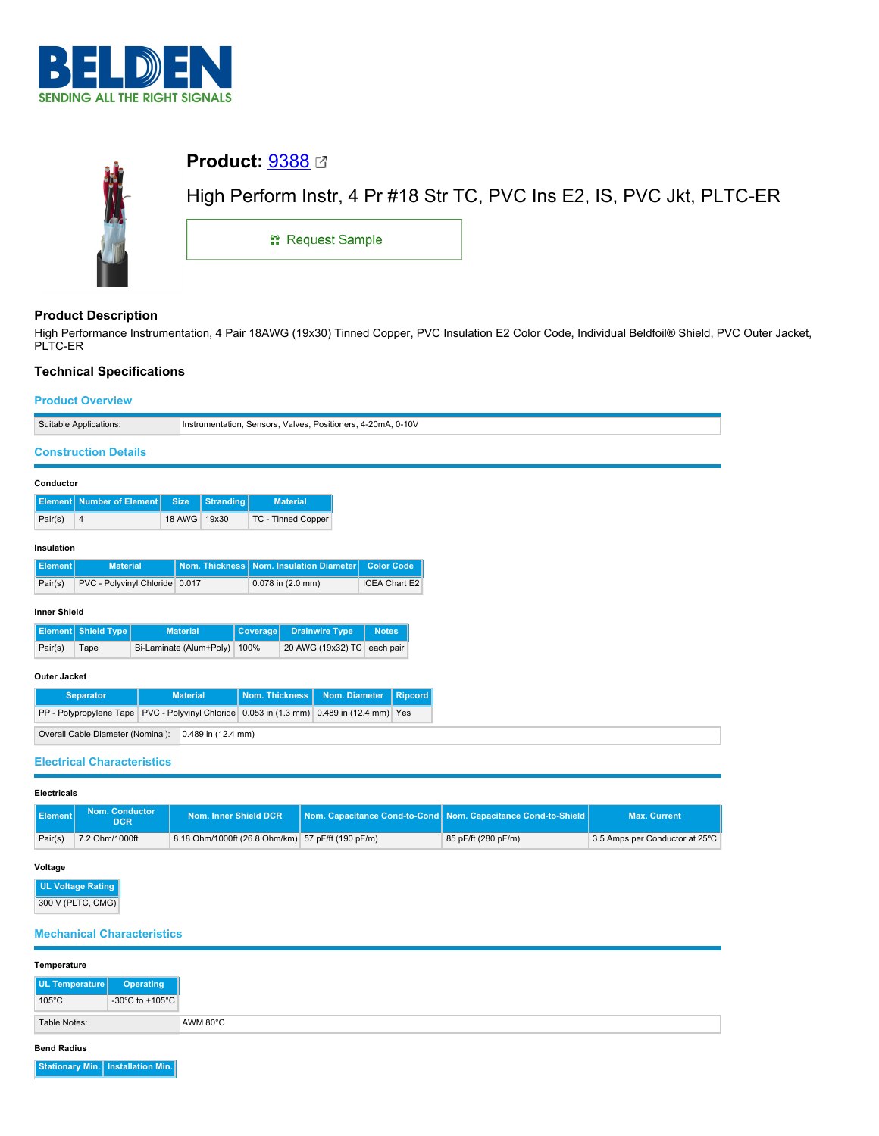



# **Product Description**

High Performance Instrumentation, 4 Pair 18AWG (19x30) Tinned Copper, PVC Insulation E2 Color Code, Individual Beldfoil® Shield, PVC Outer Jacket, PLTC-ER

## **Technical Specifications**

## **Product Overview**

|                                                         | Suitable Applications:                                                                    |  |                         |                  |                       |                           | Instrumentation, Sensors, Valves, Positioners, 4-20mA, 0-10V |                      |                |
|---------------------------------------------------------|-------------------------------------------------------------------------------------------|--|-------------------------|------------------|-----------------------|---------------------------|--------------------------------------------------------------|----------------------|----------------|
|                                                         | <b>Construction Details</b>                                                               |  |                         |                  |                       |                           |                                                              |                      |                |
|                                                         |                                                                                           |  |                         |                  |                       |                           |                                                              |                      |                |
| Conductor                                               |                                                                                           |  |                         |                  |                       |                           |                                                              |                      |                |
| Element                                                 | <b>Number of Element</b>                                                                  |  | <b>Size</b>             | <b>Stranding</b> |                       | <b>Material</b>           |                                                              |                      |                |
| Pair(s)                                                 | 4                                                                                         |  | 18 AWG 19x30            |                  |                       | <b>TC - Tinned Copper</b> |                                                              |                      |                |
|                                                         |                                                                                           |  |                         |                  |                       |                           |                                                              |                      |                |
| Insulation                                              |                                                                                           |  |                         |                  |                       |                           |                                                              |                      |                |
| <b>Element</b>                                          | <b>Material</b>                                                                           |  |                         | Nom. Thickness   |                       | Nom. Insulation Diameter  |                                                              | <b>Color Code</b>    |                |
| Pair(s)                                                 | PVC - Polyvinyl Chloride 0.017                                                            |  |                         |                  |                       | 0.078 in (2.0 mm)         |                                                              | <b>ICEA Chart E2</b> |                |
| <b>Inner Shield</b>                                     |                                                                                           |  |                         |                  |                       |                           |                                                              |                      |                |
|                                                         |                                                                                           |  |                         |                  |                       |                           |                                                              |                      |                |
|                                                         | Element Shield Type                                                                       |  | <b>Material</b>         |                  | <b>Coverage</b>       |                           | <b>Drainwire Type</b>                                        | <b>Notes</b>         |                |
| Pair(s)                                                 | Tape                                                                                      |  | Bi-Laminate (Alum+Poly) |                  | 100%                  |                           | 20 AWG (19x32) TC                                            | each pair            |                |
| <b>Outer Jacket</b>                                     |                                                                                           |  |                         |                  |                       |                           |                                                              |                      |                |
|                                                         | <b>Separator</b>                                                                          |  | <b>Material</b>         |                  | <b>Nom. Thickness</b> |                           | Nom. Diameter                                                |                      | <b>Ripcord</b> |
|                                                         | PP - Polypropylene Tape PVC - Polyvinyl Chloride 0.053 in (1.3 mm) 0.489 in (12.4 mm) Yes |  |                         |                  |                       |                           |                                                              |                      |                |
| Overall Cable Diameter (Nominal):<br>0.489 in (12.4 mm) |                                                                                           |  |                         |                  |                       |                           |                                                              |                      |                |
|                                                         |                                                                                           |  |                         |                  |                       |                           |                                                              |                      |                |
|                                                         | <b>Electrical Characteristics</b>                                                         |  |                         |                  |                       |                           |                                                              |                      |                |

### **Electricals**

| Element | <b>Nom. Conductor</b><br><b>DCR</b> | Nom. Inner Shield DCR                             | Nom. Capacitance Cond-to-Cond Nom. Capacitance Cond-to-Shield | <b>Max. Current</b>            |
|---------|-------------------------------------|---------------------------------------------------|---------------------------------------------------------------|--------------------------------|
| Pair(s) | 7.2 Ohm/1000ft                      | 8.18 Ohm/1000ft (26.8 Ohm/km) 57 pF/ft (190 pF/m) | 85 pF/ft (280 pF/m)                                           | 3.5 Amps per Conductor at 25°C |

### **Voltage**

**UL Voltage Rating** 300 V (PLTC, CMG)

## **Mechanical Characteristics**

| Temperature              |                 |
|--------------------------|-----------------|
| UL Temperature           | Operating       |
| $105^{\circ}$ C          | -30°C to +105°C |
| AWM 80°C<br>Table Notes: |                 |

# **Bend Radius**

**Stationary Min. Installation Min.**